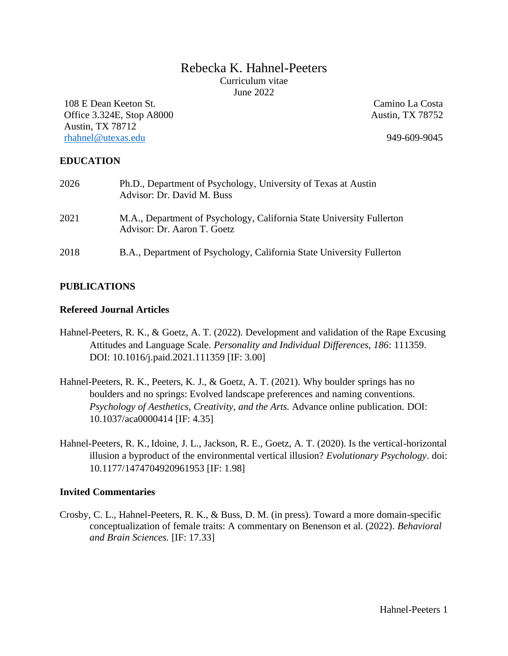# Rebecka K. Hahnel-Peeters Curriculum vitae June 2022

108 E Dean Keeton St. Office 3.324E, Stop A8000 Austin, TX 78712 [rhahnel@utexas.edu](mailto:rhahnel@utexas.edu) 949-609-9045

Camino La Costa Austin, TX 78752

## **EDUCATION**

| 2026 | Ph.D., Department of Psychology, University of Texas at Austin<br>Advisor: Dr. David M. Buss         |
|------|------------------------------------------------------------------------------------------------------|
| 2021 | M.A., Department of Psychology, California State University Fullerton<br>Advisor: Dr. Aaron T. Goetz |
| 2018 | B.A., Department of Psychology, California State University Fullerton                                |

# **PUBLICATIONS**

## **Refereed Journal Articles**

- Hahnel-Peeters, R. K., & Goetz, A. T. (2022). Development and validation of the Rape Excusing Attitudes and Language Scale. *Personality and Individual Differences, 186*: 111359. DOI: 10.1016/j.paid.2021.111359 [IF: 3.00]
- Hahnel-Peeters, R. K., Peeters, K. J., & Goetz, A. T. (2021). Why boulder springs has no boulders and no springs: Evolved landscape preferences and naming conventions. *Psychology of Aesthetics, Creativity, and the Arts.* Advance online publication*.* DOI: 10.1037/aca0000414 [IF: 4.35]
- Hahnel-Peeters, R. K., Idoine, J. L., Jackson, R. E., Goetz, A. T. (2020). Is the vertical-horizontal illusion a byproduct of the environmental vertical illusion? *Evolutionary Psychology*. doi: 10.1177/1474704920961953 [IF: 1.98]

#### **Invited Commentaries**

Crosby, C. L., Hahnel-Peeters, R. K., & Buss, D. M. (in press). Toward a more domain-specific conceptualization of female traits: A commentary on Benenson et al. (2022). *Behavioral and Brain Sciences.* [IF: 17.33]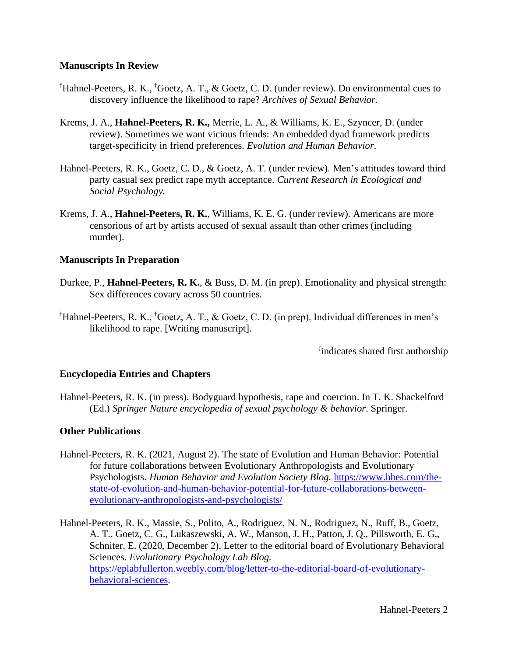### **Manuscripts In Review**

- $^{\dagger}$ Hahnel-Peeters, R. K.,  $^{\dagger}$ Goetz, A. T., & Goetz, C. D. (under review). Do environmental cues to discovery influence the likelihood to rape? *Archives of Sexual Behavior.*
- Krems, J. A., **Hahnel-Peeters, R. K.,** Merrie, L. A., & Williams, K. E., Szyncer, D. (under review). Sometimes we want vicious friends: An embedded dyad framework predicts target-specificity in friend preferences. *Evolution and Human Behavior*.
- Hahnel-Peeters, R. K., Goetz, C. D., & Goetz, A. T. (under review). Men's attitudes toward third party casual sex predict rape myth acceptance. *Current Research in Ecological and Social Psychology.*
- Krems, J. A., **Hahnel-Peeters, R. K.**, Williams, K. E. G. (under review). Americans are more censorious of art by artists accused of sexual assault than other crimes (including murder).

## **Manuscripts In Preparation**

- Durkee, P., **Hahnel-Peeters, R. K.**, & Buss, D. M. (in prep). Emotionality and physical strength: Sex differences covary across 50 countries*.*
- $^{\dagger}$ Hahnel-Peeters, R. K.,  $^{\dagger}$ Goetz, A. T., & Goetz, C. D. (in prep). Individual differences in men's likelihood to rape. [Writing manuscript].

<sup>†</sup>indicates shared first authorship

#### **Encyclopedia Entries and Chapters**

Hahnel-Peeters, R. K. (in press). Bodyguard hypothesis, rape and coercion. In T. K. Shackelford (Ed.) *Springer Nature encyclopedia of sexual psychology & behavior*. Springer.

#### **Other Publications**

- Hahnel-Peeters, R. K. (2021, August 2). The state of Evolution and Human Behavior: Potential for future collaborations between Evolutionary Anthropologists and Evolutionary Psychologists. *Human Behavior and Evolution Society Blog.* [https://www.hbes.com/the](https://www.hbes.com/the-state-of-evolution-and-human-behavior-potential-for-future-collaborations-between-evolutionary-anthropologists-and-psychologists/)[state-of-evolution-and-human-behavior-potential-for-future-collaborations-between](https://www.hbes.com/the-state-of-evolution-and-human-behavior-potential-for-future-collaborations-between-evolutionary-anthropologists-and-psychologists/)[evolutionary-anthropologists-and-psychologists/](https://www.hbes.com/the-state-of-evolution-and-human-behavior-potential-for-future-collaborations-between-evolutionary-anthropologists-and-psychologists/)
- Hahnel-Peeters, R. K., Massie, S., Polito, A., Rodriguez, N. N., Rodriguez, N., Ruff, B., Goetz, A. T., Goetz, C. G., Lukaszewski, A. W., Manson, J. H., Patton, J. Q., Pillsworth, E. G., Schniter, E. (2020, December 2). Letter to the editorial board of Evolutionary Behavioral Sciences. *Evolutionary Psychology Lab Blog.*  [https://eplabfullerton.weebly.com/blog/letter-to-the-editorial-board-of-evolutionary](https://eplabfullerton.weebly.com/blog/letter-to-the-editorial-board-of-evolutionary-behavioral-sciences)[behavioral-sciences.](https://eplabfullerton.weebly.com/blog/letter-to-the-editorial-board-of-evolutionary-behavioral-sciences)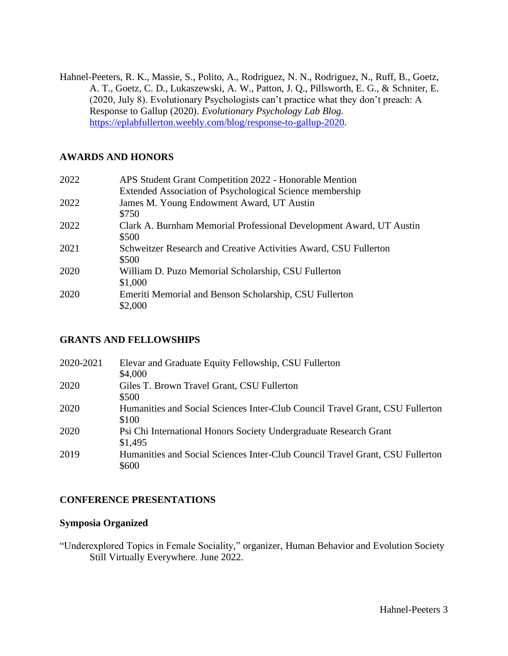Hahnel-Peeters, R. K., Massie, S., Polito, A., Rodriguez, N. N., Rodriguez, N., Ruff, B., Goetz, A. T., Goetz, C. D., Lukaszewski, A. W., Patton, J. Q., Pillsworth, E. G., & Schniter, E. (2020, July 8). Evolutionary Psychologists can't practice what they don't preach: A Response to Gallup (2020). *Evolutionary Psychology Lab Blog.* [https://eplabfullerton.weebly.com/blog/response-to-gallup-2020.](https://eplabfullerton.weebly.com/blog/response-to-gallup-2020)

# **AWARDS AND HONORS**

| 2022 | APS Student Grant Competition 2022 - Honorable Mention                       |
|------|------------------------------------------------------------------------------|
|      | Extended Association of Psychological Science membership                     |
| 2022 | James M. Young Endowment Award, UT Austin<br>\$750                           |
| 2022 | Clark A. Burnham Memorial Professional Development Award, UT Austin<br>\$500 |
| 2021 | Schweitzer Research and Creative Activities Award, CSU Fullerton<br>\$500    |
| 2020 | William D. Puzo Memorial Scholarship, CSU Fullerton<br>\$1,000               |
| 2020 | Emeriti Memorial and Benson Scholarship, CSU Fullerton<br>\$2,000            |

# **GRANTS AND FELLOWSHIPS**

| 2020-2021 | Elevar and Graduate Equity Fellowship, CSU Fullerton<br>\$4,000                        |
|-----------|----------------------------------------------------------------------------------------|
| 2020      | Giles T. Brown Travel Grant, CSU Fullerton<br>\$500                                    |
| 2020      | Humanities and Social Sciences Inter-Club Council Travel Grant, CSU Fullerton<br>\$100 |
| 2020      | Psi Chi International Honors Society Undergraduate Research Grant<br>\$1,495           |
| 2019      | Humanities and Social Sciences Inter-Club Council Travel Grant, CSU Fullerton<br>\$600 |

# **CONFERENCE PRESENTATIONS**

# **Symposia Organized**

"Underexplored Topics in Female Sociality," organizer, Human Behavior and Evolution Society Still Virtually Everywhere. June 2022.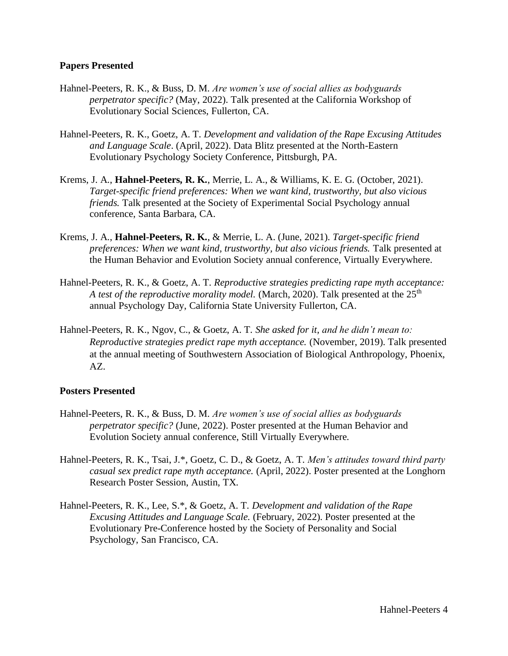#### **Papers Presented**

- Hahnel-Peeters, R. K., & Buss, D. M. *Are women's use of social allies as bodyguards perpetrator specific?* (May, 2022). Talk presented at the California Workshop of Evolutionary Social Sciences, Fullerton, CA.
- Hahnel-Peeters, R. K., Goetz, A. T. *Development and validation of the Rape Excusing Attitudes and Language Scale*. (April, 2022). Data Blitz presented at the North-Eastern Evolutionary Psychology Society Conference, Pittsburgh, PA.
- Krems, J. A., **Hahnel-Peeters, R. K.**, Merrie, L. A., & Williams, K. E. G. (October, 2021). *Target-specific friend preferences: When we want kind, trustworthy, but also vicious friends.* Talk presented at the Society of Experimental Social Psychology annual conference, Santa Barbara, CA.
- Krems, J. A., **Hahnel-Peeters, R. K.**, & Merrie, L. A. (June, 2021). *Target-specific friend preferences: When we want kind, trustworthy, but also vicious friends.* Talk presented at the Human Behavior and Evolution Society annual conference, Virtually Everywhere.
- Hahnel-Peeters, R. K., & Goetz, A. T. *Reproductive strategies predicting rape myth acceptance: A test of the reproductive morality model.* (March, 2020). Talk presented at the 25<sup>th</sup> annual Psychology Day, California State University Fullerton, CA.
- Hahnel-Peeters, R. K., Ngov, C., & Goetz, A. T. *She asked for it, and he didn't mean to: Reproductive strategies predict rape myth acceptance.* (November, 2019). Talk presented at the annual meeting of Southwestern Association of Biological Anthropology, Phoenix, AZ.

#### **Posters Presented**

- Hahnel-Peeters, R. K., & Buss, D. M. *Are women's use of social allies as bodyguards perpetrator specific?* (June, 2022). Poster presented at the Human Behavior and Evolution Society annual conference, Still Virtually Everywhere.
- Hahnel-Peeters, R. K., Tsai, J.\*, Goetz, C. D., & Goetz, A. T. *Men's attitudes toward third party casual sex predict rape myth acceptance.* (April, 2022). Poster presented at the Longhorn Research Poster Session, Austin, TX.
- Hahnel-Peeters, R. K., Lee, S.\*, & Goetz, A. T. *Development and validation of the Rape Excusing Attitudes and Language Scale.* (February, 2022). Poster presented at the Evolutionary Pre-Conference hosted by the Society of Personality and Social Psychology, San Francisco, CA.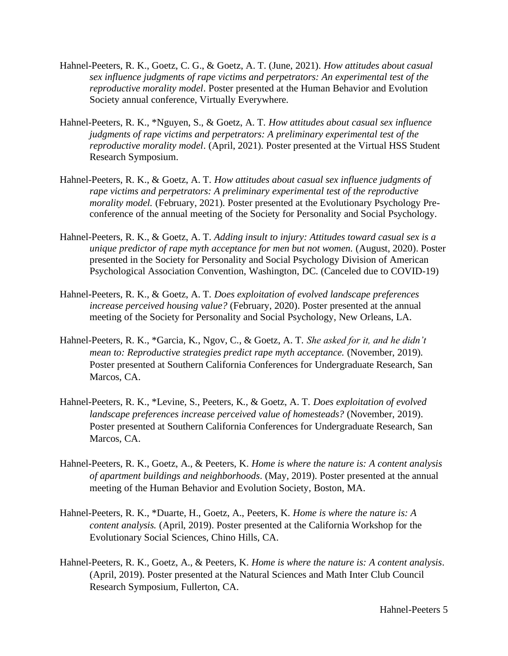- Hahnel-Peeters, R. K., Goetz, C. G., & Goetz, A. T. (June, 2021). *How attitudes about casual sex influence judgments of rape victims and perpetrators: An experimental test of the reproductive morality model*. Poster presented at the Human Behavior and Evolution Society annual conference, Virtually Everywhere.
- Hahnel-Peeters, R. K., \*Nguyen, S., & Goetz, A. T. *How attitudes about casual sex influence judgments of rape victims and perpetrators: A preliminary experimental test of the reproductive morality model*. (April, 2021). Poster presented at the Virtual HSS Student Research Symposium.
- Hahnel-Peeters, R. K., & Goetz, A. T. *How attitudes about casual sex influence judgments of rape victims and perpetrators: A preliminary experimental test of the reproductive morality model.* (February, 2021). Poster presented at the Evolutionary Psychology Preconference of the annual meeting of the Society for Personality and Social Psychology.
- Hahnel-Peeters, R. K., & Goetz, A. T. *Adding insult to injury: Attitudes toward casual sex is a unique predictor of rape myth acceptance for men but not women.* (August, 2020). Poster presented in the Society for Personality and Social Psychology Division of American Psychological Association Convention, Washington, DC. (Canceled due to COVID-19)
- Hahnel-Peeters, R. K., & Goetz, A. T. *Does exploitation of evolved landscape preferences increase perceived housing value?* (February, 2020). Poster presented at the annual meeting of the Society for Personality and Social Psychology, New Orleans, LA.
- Hahnel-Peeters, R. K., \*Garcia, K., Ngov, C., & Goetz, A. T. *She asked for it, and he didn't mean to: Reproductive strategies predict rape myth acceptance.* (November, 2019). Poster presented at Southern California Conferences for Undergraduate Research, San Marcos, CA.
- Hahnel-Peeters, R. K., \*Levine, S., Peeters, K., & Goetz, A. T. *Does exploitation of evolved landscape preferences increase perceived value of homesteads?* (November, 2019). Poster presented at Southern California Conferences for Undergraduate Research, San Marcos, CA.
- Hahnel-Peeters, R. K., Goetz, A., & Peeters, K. *Home is where the nature is: A content analysis of apartment buildings and neighborhoods*. (May, 2019). Poster presented at the annual meeting of the Human Behavior and Evolution Society, Boston, MA.
- Hahnel-Peeters, R. K., \*Duarte, H., Goetz, A., Peeters, K. *Home is where the nature is: A content analysis.* (April, 2019). Poster presented at the California Workshop for the Evolutionary Social Sciences, Chino Hills, CA.
- Hahnel-Peeters, R. K., Goetz, A., & Peeters, K. *Home is where the nature is: A content analysis*. (April, 2019). Poster presented at the Natural Sciences and Math Inter Club Council Research Symposium, Fullerton, CA.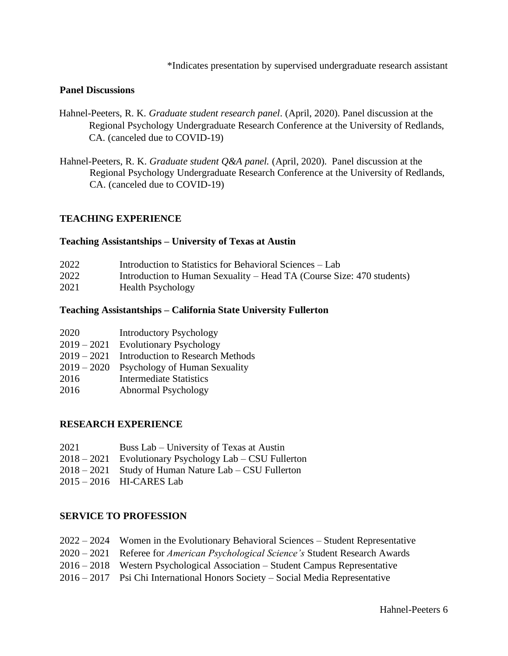\*Indicates presentation by supervised undergraduate research assistant

### **Panel Discussions**

- Hahnel-Peeters, R. K. *Graduate student research panel*. (April, 2020). Panel discussion at the Regional Psychology Undergraduate Research Conference at the University of Redlands, CA. (canceled due to COVID-19)
- Hahnel-Peeters, R. K. *Graduate student Q&A panel.* (April, 2020). Panel discussion at the Regional Psychology Undergraduate Research Conference at the University of Redlands, CA. (canceled due to COVID-19)

## **TEACHING EXPERIENCE**

#### **Teaching Assistantships – University of Texas at Austin**

| 2022 | Introduction to Statistics for Behavioral Sciences – Lab              |
|------|-----------------------------------------------------------------------|
| 2022 | Introduction to Human Sexuality – Head TA (Course Size: 470 students) |
| 2021 | <b>Health Psychology</b>                                              |

#### **Teaching Assistantships – California State University Fullerton**

| 2020 |  | <b>Introductory Psychology</b> |  |
|------|--|--------------------------------|--|
| .    |  |                                |  |

- 2019 2021 Evolutionary Psychology
- 2019 2021 Introduction to Research Methods
- 2019 2020 Psychology of Human Sexuality
- 2016 Intermediate Statistics
- 2016 Abnormal Psychology

#### **RESEARCH EXPERIENCE**

- 2021 Buss Lab University of Texas at Austin
- 2018 2021 Evolutionary Psychology Lab CSU Fullerton
- 2018 2021 Study of Human Nature Lab CSU Fullerton
- 2015 2016 HI-CARES Lab

#### **SERVICE TO PROFESSION**

|  | 2022 – 2024 Women in the Evolutionary Behavioral Sciences – Student Representative |  |  |  |  |  |  |
|--|------------------------------------------------------------------------------------|--|--|--|--|--|--|
|--|------------------------------------------------------------------------------------|--|--|--|--|--|--|

- 2020 2021 Referee for *American Psychological Science's* Student Research Awards
- 2016 2018 Western Psychological Association Student Campus Representative
- 2016 2017 Psi Chi International Honors Society Social Media Representative